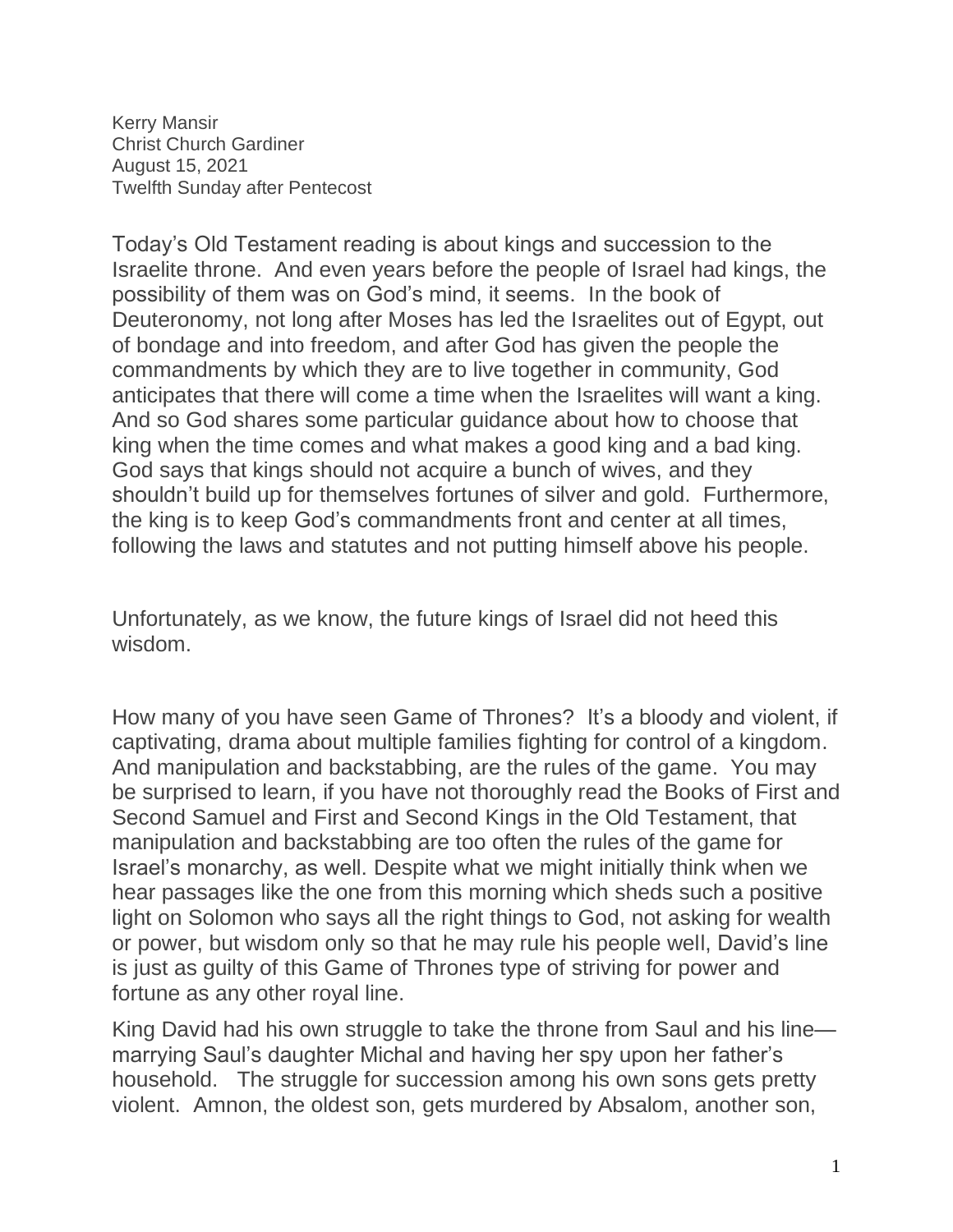Kerry Mansir Christ Church Gardiner August 15, 2021 Twelfth Sunday after Pentecost

Today's Old Testament reading is about kings and succession to the Israelite throne. And even years before the people of Israel had kings, the possibility of them was on God's mind, it seems. In the book of Deuteronomy, not long after Moses has led the Israelites out of Egypt, out of bondage and into freedom, and after God has given the people the commandments by which they are to live together in community, God anticipates that there will come a time when the Israelites will want a king. And so God shares some particular guidance about how to choose that king when the time comes and what makes a good king and a bad king. God says that kings should not acquire a bunch of wives, and they shouldn't build up for themselves fortunes of silver and gold. Furthermore, the king is to keep God's commandments front and center at all times, following the laws and statutes and not putting himself above his people.

Unfortunately, as we know, the future kings of Israel did not heed this wisdom.

How many of you have seen Game of Thrones? It's a bloody and violent, if captivating, drama about multiple families fighting for control of a kingdom. And manipulation and backstabbing, are the rules of the game. You may be surprised to learn, if you have not thoroughly read the Books of First and Second Samuel and First and Second Kings in the Old Testament, that manipulation and backstabbing are too often the rules of the game for Israel's monarchy, as well. Despite what we might initially think when we hear passages like the one from this morning which sheds such a positive light on Solomon who says all the right things to God, not asking for wealth or power, but wisdom only so that he may rule his people well, David's line is just as guilty of this Game of Thrones type of striving for power and fortune as any other royal line.

King David had his own struggle to take the throne from Saul and his line marrying Saul's daughter Michal and having her spy upon her father's household. The struggle for succession among his own sons gets pretty violent. Amnon, the oldest son, gets murdered by Absalom, another son,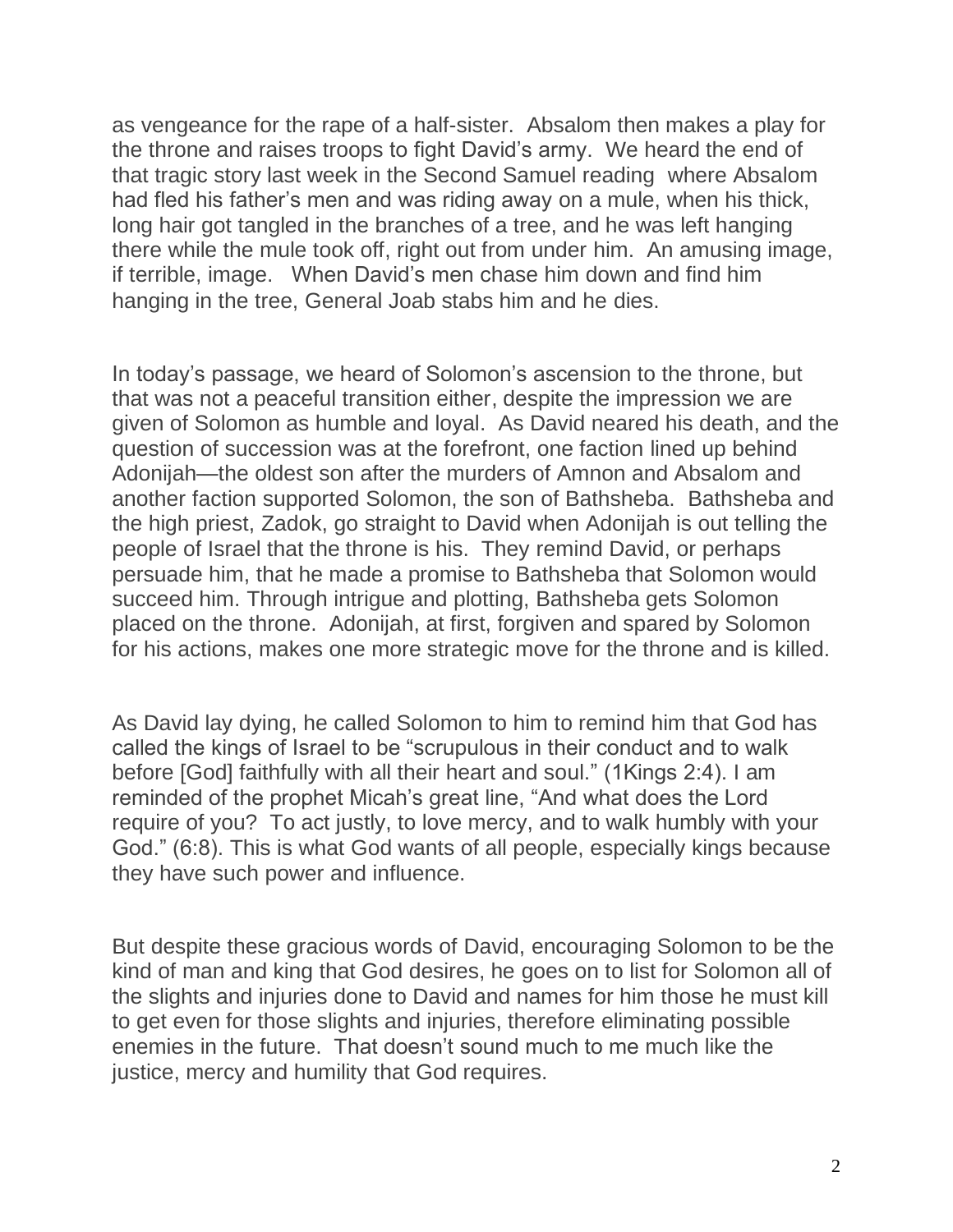as vengeance for the rape of a half-sister. Absalom then makes a play for the throne and raises troops to fight David's army. We heard the end of that tragic story last week in the Second Samuel reading where Absalom had fled his father's men and was riding away on a mule, when his thick, long hair got tangled in the branches of a tree, and he was left hanging there while the mule took off, right out from under him. An amusing image, if terrible, image. When David's men chase him down and find him hanging in the tree, General Joab stabs him and he dies.

In today's passage, we heard of Solomon's ascension to the throne, but that was not a peaceful transition either, despite the impression we are given of Solomon as humble and loyal. As David neared his death, and the question of succession was at the forefront, one faction lined up behind Adonijah—the oldest son after the murders of Amnon and Absalom and another faction supported Solomon, the son of Bathsheba. Bathsheba and the high priest, Zadok, go straight to David when Adonijah is out telling the people of Israel that the throne is his. They remind David, or perhaps persuade him, that he made a promise to Bathsheba that Solomon would succeed him. Through intrigue and plotting, Bathsheba gets Solomon placed on the throne. Adonijah, at first, forgiven and spared by Solomon for his actions, makes one more strategic move for the throne and is killed.

As David lay dying, he called Solomon to him to remind him that God has called the kings of Israel to be "scrupulous in their conduct and to walk before [God] faithfully with all their heart and soul." (1Kings 2:4). I am reminded of the prophet Micah's great line, "And what does the Lord require of you? To act justly, to love mercy, and to walk humbly with your God." (6:8). This is what God wants of all people, especially kings because they have such power and influence.

But despite these gracious words of David, encouraging Solomon to be the kind of man and king that God desires, he goes on to list for Solomon all of the slights and injuries done to David and names for him those he must kill to get even for those slights and injuries, therefore eliminating possible enemies in the future. That doesn't sound much to me much like the justice, mercy and humility that God requires.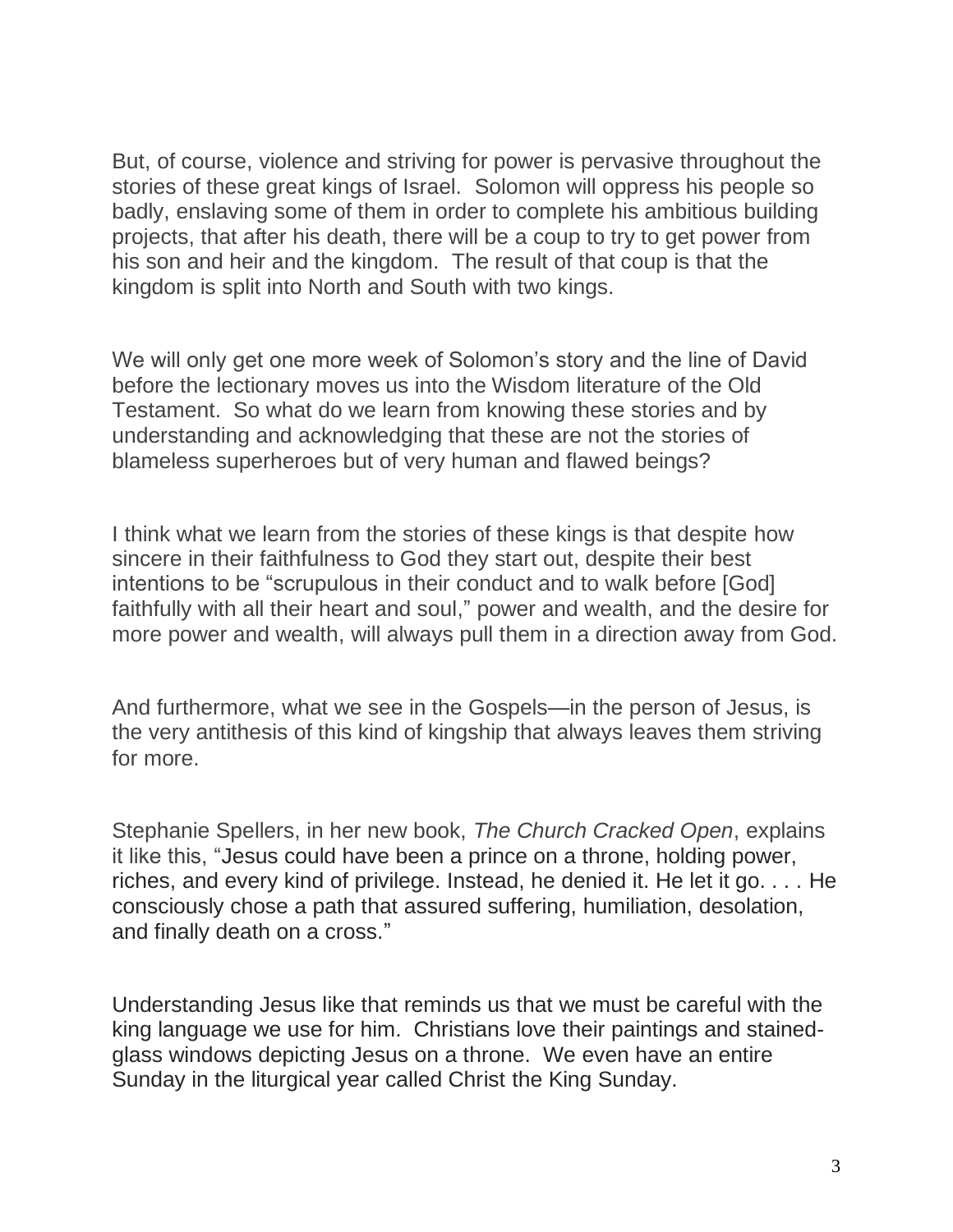But, of course, violence and striving for power is pervasive throughout the stories of these great kings of Israel. Solomon will oppress his people so badly, enslaving some of them in order to complete his ambitious building projects, that after his death, there will be a coup to try to get power from his son and heir and the kingdom. The result of that coup is that the kingdom is split into North and South with two kings.

We will only get one more week of Solomon's story and the line of David before the lectionary moves us into the Wisdom literature of the Old Testament. So what do we learn from knowing these stories and by understanding and acknowledging that these are not the stories of blameless superheroes but of very human and flawed beings?

I think what we learn from the stories of these kings is that despite how sincere in their faithfulness to God they start out, despite their best intentions to be "scrupulous in their conduct and to walk before [God] faithfully with all their heart and soul," power and wealth, and the desire for more power and wealth, will always pull them in a direction away from God.

And furthermore, what we see in the Gospels—in the person of Jesus, is the very antithesis of this kind of kingship that always leaves them striving for more.

Stephanie Spellers, in her new book, *The Church Cracked Open*, explains it like this, "Jesus could have been a prince on a throne, holding power, riches, and every kind of privilege. Instead, he denied it. He let it go. . . . He consciously chose a path that assured suffering, humiliation, desolation, and finally death on a cross."

Understanding Jesus like that reminds us that we must be careful with the king language we use for him. Christians love their paintings and stainedglass windows depicting Jesus on a throne. We even have an entire Sunday in the liturgical year called Christ the King Sunday.